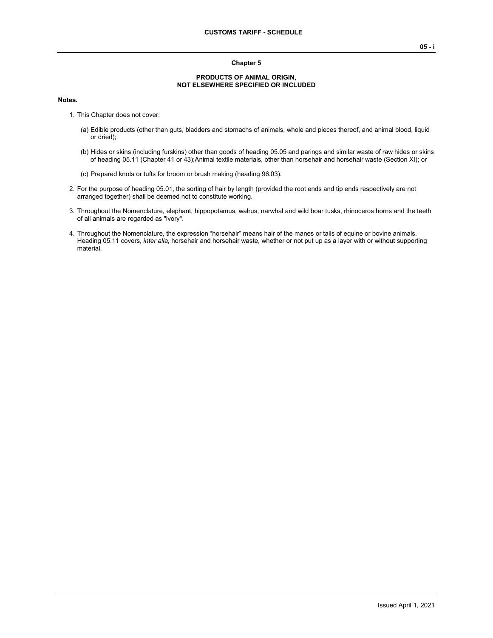### **Chapter 5**

#### **PRODUCTS OF ANIMAL ORIGIN, NOT ELSEWHERE SPECIFIED OR INCLUDED**

#### **Notes.**

- 1. This Chapter does not cover:
	- (a) Edible products (other than guts, bladders and stomachs of animals, whole and pieces thereof, and animal blood, liquid or dried);
	- (b) Hides or skins (including furskins) other than goods of heading 05.05 and parings and similar waste of raw hides or skins of heading 05.11 (Chapter 41 or 43);Animal textile materials, other than horsehair and horsehair waste (Section XI); or
	- (c) Prepared knots or tufts for broom or brush making (heading 96.03).
- 2. For the purpose of heading 05.01, the sorting of hair by length (provided the root ends and tip ends respectively are not arranged together) shall be deemed not to constitute working.
- 3. Throughout the Nomenclature, elephant, hippopotamus, walrus, narwhal and wild boar tusks, rhinoceros horns and the teeth of all animals are regarded as "ivory".
- 4. Throughout the Nomenclature, the expression "horsehair" means hair of the manes or tails of equine or bovine animals. Heading 05.11 covers, *inter alia*, horsehair and horsehair waste, whether or not put up as a layer with or without supporting material.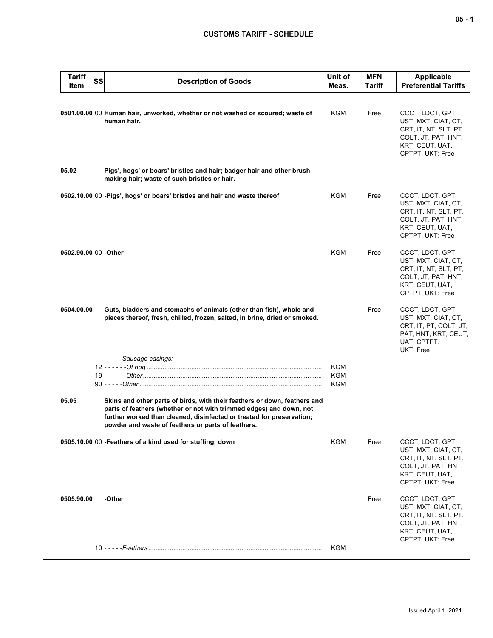# **CUSTOMS TARIFF - SCHEDULE**

| <b>Tariff</b><br>SS<br>Item | <b>Description of Goods</b>                                                                                                                                                                                                                                                     | Unit of<br>Meas.  | <b>MFN</b><br>Tariff | <b>Applicable</b><br><b>Preferential Tariffs</b>                                                                               |
|-----------------------------|---------------------------------------------------------------------------------------------------------------------------------------------------------------------------------------------------------------------------------------------------------------------------------|-------------------|----------------------|--------------------------------------------------------------------------------------------------------------------------------|
|                             | 0501.00.00 00 Human hair, unworked, whether or not washed or scoured; waste of<br>human hair.                                                                                                                                                                                   | KGM               | Free                 | CCCT, LDCT, GPT,<br>UST, MXT, CIAT, CT,<br>CRT, IT, NT, SLT, PT,<br>COLT, JT, PAT, HNT,<br>KRT, CEUT, UAT,<br>CPTPT, UKT: Free |
| 05.02                       | Pigs', hogs' or boars' bristles and hair; badger hair and other brush<br>making hair; waste of such bristles or hair.                                                                                                                                                           |                   |                      |                                                                                                                                |
|                             | 0502.10.00 00 - Pigs', hogs' or boars' bristles and hair and waste thereof                                                                                                                                                                                                      | KGM               | Free                 | CCCT, LDCT, GPT,<br>UST, MXT, CIAT, CT,<br>CRT, IT, NT, SLT, PT,<br>COLT, JT, PAT, HNT,<br>KRT, CEUT, UAT,<br>CPTPT, UKT: Free |
| 0502.90.00 00 - Other       |                                                                                                                                                                                                                                                                                 | <b>KGM</b>        | Free                 | CCCT, LDCT, GPT,<br>UST, MXT, CIAT, CT,<br>CRT, IT, NT, SLT, PT,<br>COLT, JT, PAT, HNT,<br>KRT, CEUT, UAT,<br>CPTPT, UKT: Free |
| 0504.00.00                  | Guts, bladders and stomachs of animals (other than fish), whole and<br>pieces thereof, fresh, chilled, frozen, salted, in brine, dried or smoked.                                                                                                                               |                   | Free                 | CCCT, LDCT, GPT,<br>UST, MXT, CIAT, CT,<br>CRT, IT, PT, COLT, JT,<br>PAT, HNT, KRT, CEUT,<br>UAT, CPTPT,<br>UKT: Free          |
|                             | -----Sausage casings:                                                                                                                                                                                                                                                           | KGM<br>KGM<br>KGM |                      |                                                                                                                                |
| 05.05                       | Skins and other parts of birds, with their feathers or down, feathers and<br>parts of feathers (whether or not with trimmed edges) and down, not<br>further worked than cleaned, disinfected or treated for preservation;<br>powder and waste of feathers or parts of feathers. |                   |                      |                                                                                                                                |
|                             | 0505.10.00 00 - Feathers of a kind used for stuffing; down                                                                                                                                                                                                                      | KGM               | Free                 | CCCT, LDCT, GPT,<br>UST, MXT, CIAT, CT,<br>CRT, IT, NT, SLT, PT,<br>COLT, JT, PAT, HNT,<br>KRT, CEUT, UAT,<br>CPTPT, UKT: Free |
| 0505.90.00                  | -Other                                                                                                                                                                                                                                                                          |                   | Free                 | CCCT, LDCT, GPT,<br>UST, MXT, CIAT, CT,<br>CRT, IT, NT, SLT, PT,<br>COLT, JT, PAT, HNT,<br>KRT, CEUT, UAT,<br>CPTPT, UKT: Free |
|                             |                                                                                                                                                                                                                                                                                 | KGM               |                      |                                                                                                                                |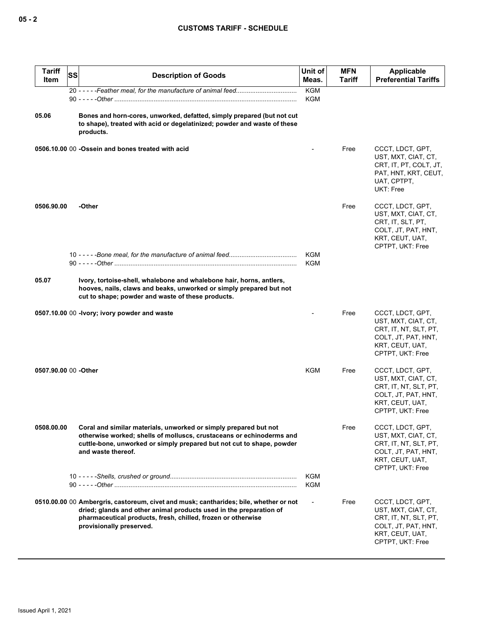| <b>Tariff</b><br>Item | SS | <b>Description of Goods</b>                                                                                                                                                                                                                             | Unit of<br>Meas.  | <b>MFN</b><br>Tariff | Applicable<br><b>Preferential Tariffs</b>                                                                                      |
|-----------------------|----|---------------------------------------------------------------------------------------------------------------------------------------------------------------------------------------------------------------------------------------------------------|-------------------|----------------------|--------------------------------------------------------------------------------------------------------------------------------|
|                       |    |                                                                                                                                                                                                                                                         | <b>KGM</b><br>KGM |                      |                                                                                                                                |
| 05.06                 |    | Bones and horn-cores, unworked, defatted, simply prepared (but not cut<br>to shape), treated with acid or degelatinized; powder and waste of these<br>products.                                                                                         |                   |                      |                                                                                                                                |
|                       |    | 0506.10.00 00 -Ossein and bones treated with acid                                                                                                                                                                                                       |                   | Free                 | CCCT, LDCT, GPT,<br>UST, MXT, CIAT, CT,<br>CRT, IT, PT, COLT, JT,<br>PAT, HNT, KRT, CEUT,<br>UAT, CPTPT,<br>UKT: Free          |
| 0506.90.00            |    | -Other                                                                                                                                                                                                                                                  |                   | Free                 | CCCT, LDCT, GPT,<br>UST, MXT, CIAT, CT,<br>CRT, IT, SLT, PT,<br>COLT, JT, PAT, HNT,<br>KRT, CEUT, UAT,<br>CPTPT, UKT: Free     |
|                       |    |                                                                                                                                                                                                                                                         | KGM<br><b>KGM</b> |                      |                                                                                                                                |
| 05.07                 |    | Ivory, tortoise-shell, whalebone and whalebone hair, horns, antlers,<br>hooves, nails, claws and beaks, unworked or simply prepared but not<br>cut to shape; powder and waste of these products.                                                        |                   |                      |                                                                                                                                |
|                       |    | 0507.10.00 00 - Ivory; ivory powder and waste                                                                                                                                                                                                           |                   | Free                 | CCCT, LDCT, GPT,<br>UST, MXT, CIAT, CT,<br>CRT, IT, NT, SLT, PT,<br>COLT, JT, PAT, HNT,<br>KRT, CEUT, UAT,<br>CPTPT, UKT: Free |
| 0507.90.00 00 -Other  |    |                                                                                                                                                                                                                                                         | KGM               | Free                 | CCCT, LDCT, GPT,<br>UST, MXT, CIAT, CT,<br>CRT, IT, NT, SLT, PT,<br>COLT, JT, PAT, HNT,<br>KRT, CEUT, UAT,<br>CPTPT, UKT: Free |
| 0508.00.00            |    | Coral and similar materials, unworked or simply prepared but not<br>otherwise worked; shells of molluscs, crustaceans or echinoderms and<br>cuttle-bone, unworked or simply prepared but not cut to shape, powder<br>and waste thereof.                 |                   | Free                 | CCCT, LDCT, GPT,<br>UST, MXT, CIAT, CT,<br>CRT, IT, NT, SLT, PT,<br>COLT, JT, PAT, HNT,<br>KRT, CEUT, UAT,<br>CPTPT, UKT: Free |
|                       |    |                                                                                                                                                                                                                                                         | KGM<br>KGM        |                      |                                                                                                                                |
|                       |    | 0510.00.00 00 Ambergris, castoreum, civet and musk; cantharides; bile, whether or not<br>dried; glands and other animal products used in the preparation of<br>pharmaceutical products, fresh, chilled, frozen or otherwise<br>provisionally preserved. |                   | Free                 | CCCT, LDCT, GPT,<br>UST, MXT, CIAT, CT,<br>CRT, IT, NT, SLT, PT,<br>COLT, JT, PAT, HNT,<br>KRT, CEUT, UAT,<br>CPTPT, UKT: Free |